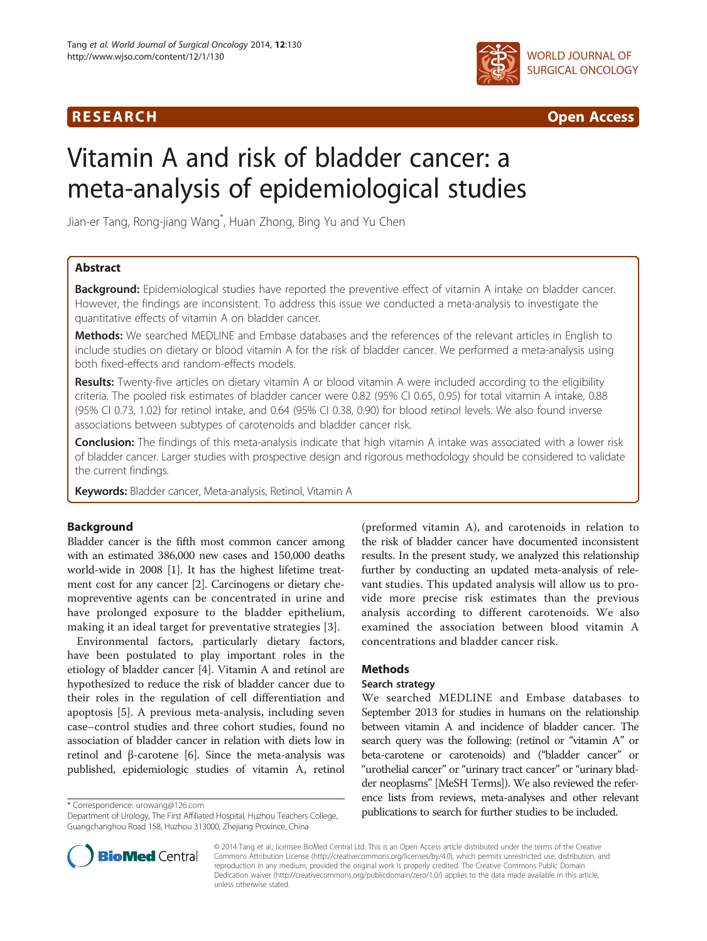# R E S EAR CH Open Access



# Vitamin A and risk of bladder cancer: a meta-analysis of epidemiological studies

Jian-er Tang, Rong-jiang Wang\* , Huan Zhong, Bing Yu and Yu Chen

# Abstract

Background: Epidemiological studies have reported the preventive effect of vitamin A intake on bladder cancer. However, the findings are inconsistent. To address this issue we conducted a meta-analysis to investigate the quantitative effects of vitamin A on bladder cancer.

Methods: We searched MEDLINE and Embase databases and the references of the relevant articles in English to include studies on dietary or blood vitamin A for the risk of bladder cancer. We performed a meta-analysis using both fixed-effects and random-effects models.

Results: Twenty-five articles on dietary vitamin A or blood vitamin A were included according to the eligibility criteria. The pooled risk estimates of bladder cancer were 0.82 (95% CI 0.65, 0.95) for total vitamin A intake, 0.88 (95% CI 0.73, 1.02) for retinol intake, and 0.64 (95% CI 0.38, 0.90) for blood retinol levels. We also found inverse associations between subtypes of carotenoids and bladder cancer risk.

**Conclusion:** The findings of this meta-analysis indicate that high vitamin A intake was associated with a lower risk of bladder cancer. Larger studies with prospective design and rigorous methodology should be considered to validate the current findings.

Keywords: Bladder cancer, Meta-analysis, Retinol, Vitamin A

# Background

Bladder cancer is the fifth most common cancer among with an estimated 386,000 new cases and 150,000 deaths world-wide in 2008 [\[1\]](#page-7-0). It has the highest lifetime treatment cost for any cancer [[2\]](#page-7-0). Carcinogens or dietary chemopreventive agents can be concentrated in urine and have prolonged exposure to the bladder epithelium, making it an ideal target for preventative strategies [[3](#page-7-0)].

Environmental factors, particularly dietary factors, have been postulated to play important roles in the etiology of bladder cancer [\[4\]](#page-7-0). Vitamin A and retinol are hypothesized to reduce the risk of bladder cancer due to their roles in the regulation of cell differentiation and apoptosis [[5\]](#page-7-0). A previous meta-analysis, including seven case–control studies and three cohort studies, found no association of bladder cancer in relation with diets low in retinol and β-carotene [\[6](#page-7-0)]. Since the meta-analysis was published, epidemiologic studies of vitamin A, retinol



# Methods

# Search strategy

We searched MEDLINE and Embase databases to September 2013 for studies in humans on the relationship between vitamin A and incidence of bladder cancer. The search query was the following: (retinol or "vitamin A" or beta-carotene or carotenoids) and ("bladder cancer" or "urothelial cancer" or "urinary tract cancer" or "urinary bladder neoplasms" [MeSH Terms]). We also reviewed the reference lists from reviews, meta-analyses and other relevant publications to search for further studies to be included. \* Correspondence: [urowang@126.com](mailto:urowang@126.com)



© 2014 Tang et al.; licensee BioMed Central Ltd. This is an Open Access article distributed under the terms of the Creative Commons Attribution License [\(http://creativecommons.org/licenses/by/4.0\)](http://creativecommons.org/licenses/by/4.0), which permits unrestricted use, distribution, and reproduction in any medium, provided the original work is properly credited. The Creative Commons Public Domain Dedication waiver [\(http://creativecommons.org/publicdomain/zero/1.0/](http://creativecommons.org/publicdomain/zero/1.0/)) applies to the data made available in this article, unless otherwise stated.

Department of Urology, The First Affiliated Hospital, Huzhou Teachers College, Guangchanghou Road 158, Huzhou 313000, Zhejiang Province, China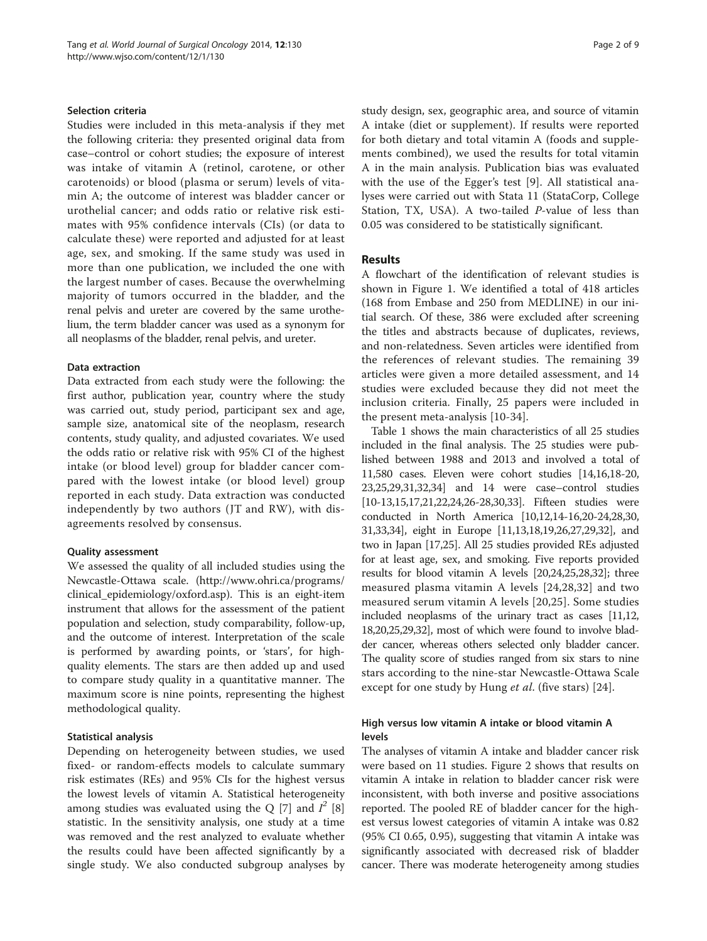### Selection criteria

Studies were included in this meta-analysis if they met the following criteria: they presented original data from case–control or cohort studies; the exposure of interest was intake of vitamin A (retinol, carotene, or other carotenoids) or blood (plasma or serum) levels of vitamin A; the outcome of interest was bladder cancer or urothelial cancer; and odds ratio or relative risk estimates with 95% confidence intervals (CIs) (or data to calculate these) were reported and adjusted for at least age, sex, and smoking. If the same study was used in more than one publication, we included the one with the largest number of cases. Because the overwhelming majority of tumors occurred in the bladder, and the renal pelvis and ureter are covered by the same urothelium, the term bladder cancer was used as a synonym for all neoplasms of the bladder, renal pelvis, and ureter.

# Data extraction

Data extracted from each study were the following: the first author, publication year, country where the study was carried out, study period, participant sex and age, sample size, anatomical site of the neoplasm, research contents, study quality, and adjusted covariates. We used the odds ratio or relative risk with 95% CI of the highest intake (or blood level) group for bladder cancer compared with the lowest intake (or blood level) group reported in each study. Data extraction was conducted independently by two authors (JT and RW), with disagreements resolved by consensus.

# Quality assessment

We assessed the quality of all included studies using the Newcastle-Ottawa scale. [\(http://www.ohri.ca/programs/](http://www.ohri.ca/programs/clinical_epidemiology/oxford.asp) [clinical\\_epidemiology/oxford.asp\)](http://www.ohri.ca/programs/clinical_epidemiology/oxford.asp). This is an eight-item instrument that allows for the assessment of the patient population and selection, study comparability, follow-up, and the outcome of interest. Interpretation of the scale is performed by awarding points, or 'stars', for highquality elements. The stars are then added up and used to compare study quality in a quantitative manner. The maximum score is nine points, representing the highest methodological quality.

## Statistical analysis

Depending on heterogeneity between studies, we used fixed- or random-effects models to calculate summary risk estimates (REs) and 95% CIs for the highest versus the lowest levels of vitamin A. Statistical heterogeneity among studies was evaluated using the Q [\[7\]](#page-7-0) and  $I^2$  [\[8](#page-7-0)] statistic. In the sensitivity analysis, one study at a time was removed and the rest analyzed to evaluate whether the results could have been affected significantly by a single study. We also conducted subgroup analyses by study design, sex, geographic area, and source of vitamin A intake (diet or supplement). If results were reported for both dietary and total vitamin A (foods and supplements combined), we used the results for total vitamin A in the main analysis. Publication bias was evaluated with the use of the Egger's test [[9\]](#page-7-0). All statistical analyses were carried out with Stata 11 (StataCorp, College Station, TX, USA). A two-tailed P-value of less than 0.05 was considered to be statistically significant.

## Results

A flowchart of the identification of relevant studies is shown in Figure [1.](#page-2-0) We identified a total of 418 articles (168 from Embase and 250 from MEDLINE) in our initial search. Of these, 386 were excluded after screening the titles and abstracts because of duplicates, reviews, and non-relatedness. Seven articles were identified from the references of relevant studies. The remaining 39 articles were given a more detailed assessment, and 14 studies were excluded because they did not meet the inclusion criteria. Finally, 25 papers were included in the present meta-analysis [\[10](#page-7-0)-[34](#page-7-0)].

Table [1](#page-3-0) shows the main characteristics of all 25 studies included in the final analysis. The 25 studies were published between 1988 and 2013 and involved a total of 11,580 cases. Eleven were cohort studies [\[14,16,18](#page-7-0)-[20](#page-7-0), [23,25,29,31,32,34\]](#page-7-0) and 14 were case–control studies [[10](#page-7-0)-[13,15,17,21](#page-7-0),[22,24,26-28,30,33\]](#page-7-0). Fifteen studies were conducted in North America [\[10,12,14](#page-7-0)-[16,20-24,28,30](#page-7-0), [31,33,34\]](#page-7-0), eight in Europe [\[11,13,18,19,26,27,29,32\]](#page-7-0), and two in Japan [\[17,25\]](#page-7-0). All 25 studies provided REs adjusted for at least age, sex, and smoking. Five reports provided results for blood vitamin A levels [\[20,24,25,28,32\]](#page-7-0); three measured plasma vitamin A levels [[24](#page-7-0),[28,32](#page-7-0)] and two measured serum vitamin A levels [[20,25\]](#page-7-0). Some studies included neoplasms of the urinary tract as cases [[11,12](#page-7-0), [18,20,25,29,32\]](#page-7-0), most of which were found to involve bladder cancer, whereas others selected only bladder cancer. The quality score of studies ranged from six stars to nine stars according to the nine-star Newcastle-Ottawa Scale except for one study by Hung et al. (five stars) [[24\]](#page-7-0).

# High versus low vitamin A intake or blood vitamin A levels

The analyses of vitamin A intake and bladder cancer risk were based on 11 studies. Figure [2](#page-5-0) shows that results on vitamin A intake in relation to bladder cancer risk were inconsistent, with both inverse and positive associations reported. The pooled RE of bladder cancer for the highest versus lowest categories of vitamin A intake was 0.82 (95% CI 0.65, 0.95), suggesting that vitamin A intake was significantly associated with decreased risk of bladder cancer. There was moderate heterogeneity among studies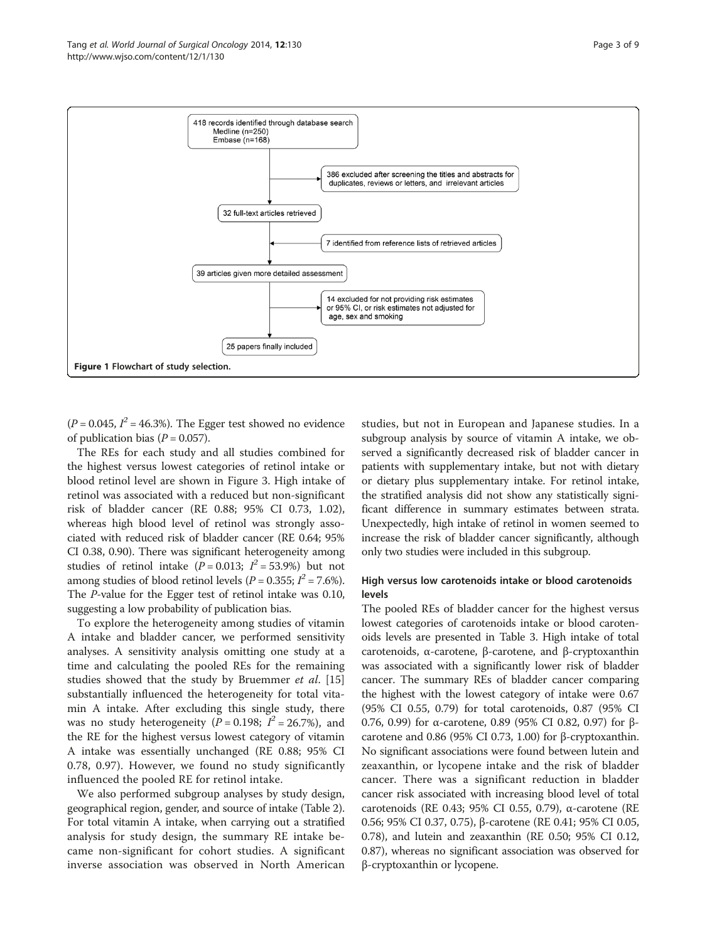<span id="page-2-0"></span>

 $(P = 0.045, I^2 = 46.3\%)$ . The Egger test showed no evidence of publication bias ( $P = 0.057$ ).

The REs for each study and all studies combined for the highest versus lowest categories of retinol intake or blood retinol level are shown in Figure [3.](#page-5-0) High intake of retinol was associated with a reduced but non-significant risk of bladder cancer (RE 0.88; 95% CI 0.73, 1.02), whereas high blood level of retinol was strongly associated with reduced risk of bladder cancer (RE 0.64; 95% CI 0.38, 0.90). There was significant heterogeneity among studies of retinol intake ( $\overline{P} = 0.013$ ;  $I^2 = 53.9\%$ ) but not among studies of blood retinol levels ( $P = 0.355$ ;  $I^2 = 7.6\%$ ). The P-value for the Egger test of retinol intake was 0.10, suggesting a low probability of publication bias.

To explore the heterogeneity among studies of vitamin A intake and bladder cancer, we performed sensitivity analyses. A sensitivity analysis omitting one study at a time and calculating the pooled REs for the remaining studies showed that the study by Bruemmer et al. [[15](#page-7-0)] substantially influenced the heterogeneity for total vitamin A intake. After excluding this single study, there was no study heterogeneity ( $\dot{P} = 0.198$ ;  $I^2 = 26.7\%$ ), and the RE for the highest versus lowest category of vitamin A intake was essentially unchanged (RE 0.88; 95% CI 0.78, 0.97). However, we found no study significantly influenced the pooled RE for retinol intake.

We also performed subgroup analyses by study design, geographical region, gender, and source of intake (Table [2](#page-6-0)). For total vitamin A intake, when carrying out a stratified analysis for study design, the summary RE intake became non-significant for cohort studies. A significant inverse association was observed in North American studies, but not in European and Japanese studies. In a subgroup analysis by source of vitamin A intake, we observed a significantly decreased risk of bladder cancer in patients with supplementary intake, but not with dietary or dietary plus supplementary intake. For retinol intake, the stratified analysis did not show any statistically significant difference in summary estimates between strata. Unexpectedly, high intake of retinol in women seemed to increase the risk of bladder cancer significantly, although only two studies were included in this subgroup.

# High versus low carotenoids intake or blood carotenoids levels

The pooled REs of bladder cancer for the highest versus lowest categories of carotenoids intake or blood carotenoids levels are presented in Table [3](#page-6-0). High intake of total carotenoids, α-carotene, β-carotene, and β-cryptoxanthin was associated with a significantly lower risk of bladder cancer. The summary REs of bladder cancer comparing the highest with the lowest category of intake were 0.67 (95% CI 0.55, 0.79) for total carotenoids, 0.87 (95% CI 0.76, 0.99) for α-carotene, 0.89 (95% CI 0.82, 0.97) for βcarotene and 0.86 (95% CI 0.73, 1.00) for β-cryptoxanthin. No significant associations were found between lutein and zeaxanthin, or lycopene intake and the risk of bladder cancer. There was a significant reduction in bladder cancer risk associated with increasing blood level of total carotenoids (RE 0.43; 95% CI 0.55, 0.79), α-carotene (RE 0.56; 95% CI 0.37, 0.75), β-carotene (RE 0.41; 95% CI 0.05, 0.78), and lutein and zeaxanthin (RE 0.50; 95% CI 0.12, 0.87), whereas no significant association was observed for β-cryptoxanthin or lycopene.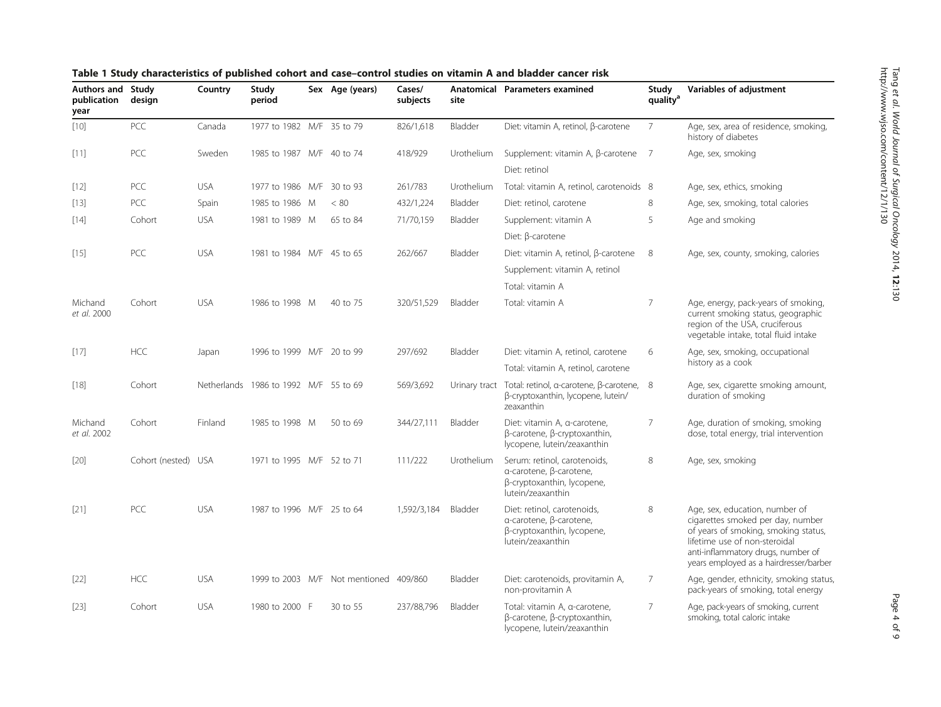| <b>Authors and Study</b><br>publication<br>year | design          | Country                   | Study<br>period                       | Sex Age (years)                        | Cases/<br>subjects | site                               | Anatomical Parameters examined                                                                              | Study<br>quality <sup>a</sup>   | Variables of adjustment                                                                                                                                                                                                      |
|-------------------------------------------------|-----------------|---------------------------|---------------------------------------|----------------------------------------|--------------------|------------------------------------|-------------------------------------------------------------------------------------------------------------|---------------------------------|------------------------------------------------------------------------------------------------------------------------------------------------------------------------------------------------------------------------------|
| $[10]$                                          | <b>PCC</b>      | Canada                    | 1977 to 1982 M/F 35 to 79             |                                        | 826/1,618          | Bladder                            | Diet: vitamin A, retinol, ß-carotene                                                                        | $\overline{7}$                  | Age, sex, area of residence, smoking,<br>history of diabetes                                                                                                                                                                 |
| [11]                                            | PCC             | Sweden                    | 1985 to 1987 M/F 40 to 74             |                                        | 418/929            | Urothelium                         | Supplement: vitamin A, β-carotene 7<br>Diet: retinol                                                        |                                 | Age, sex, smoking                                                                                                                                                                                                            |
| $[12]$                                          | <b>PCC</b>      | <b>USA</b>                | 1977 to 1986 M/F 30 to 93             |                                        | 261/783            | Urothelium                         | Total: vitamin A, retinol, carotenoids 8                                                                    |                                 | Age, sex, ethics, smoking                                                                                                                                                                                                    |
| $[13]$                                          | PCC             | Spain                     | 1985 to 1986 M                        | < 80                                   | 432/1,224          | Bladder                            | Diet: retinol, carotene                                                                                     | 8                               | Age, sex, smoking, total calories                                                                                                                                                                                            |
| $[14]$                                          | Cohort          | <b>USA</b>                | 1981 to 1989 M                        | 65 to 84                               | 71/70,159          | Bladder                            | Supplement: vitamin A<br>Diet: ß-carotene                                                                   | 5                               | Age and smoking                                                                                                                                                                                                              |
| $[15]$                                          | PCC             | <b>USA</b>                | 1981 to 1984 M/F 45 to 65             |                                        | 262/667            | Bladder                            | Diet: vitamin A, retinol, ß-carotene<br>Supplement: vitamin A, retinol<br>Total: vitamin A                  | 8                               | Age, sex, county, smoking, calories                                                                                                                                                                                          |
| Michand<br>et al. 2000                          | Cohort          | <b>USA</b>                | 1986 to 1998 M                        | 40 to 75                               | 320/51,529         | Bladder                            | Total: vitamin A                                                                                            | $\overline{7}$                  | Age, energy, pack-years of smoking,<br>current smoking status, geographic<br>region of the USA, cruciferous<br>vegetable intake, total fluid intake                                                                          |
| <b>HCC</b><br>$[17]$                            | Japan           | 1996 to 1999 M/F 20 to 99 |                                       | 297/692                                | Bladder            | Diet: vitamin A, retinol, carotene | 6                                                                                                           | Age, sex, smoking, occupational |                                                                                                                                                                                                                              |
|                                                 |                 |                           |                                       |                                        |                    |                                    | Total: vitamin A, retinol, carotene                                                                         |                                 | history as a cook                                                                                                                                                                                                            |
| $[18]$                                          | Cohort          |                           | Netherlands 1986 to 1992 M/F 55 to 69 |                                        | 569/3,692          |                                    | Urinary tract Total: retinol, α-carotene, β-carotene, 8<br>β-cryptoxanthin, lycopene, lutein/<br>zeaxanthin |                                 | Age, sex, cigarette smoking amount,<br>duration of smoking                                                                                                                                                                   |
| Michand<br>et al. 2002                          | Cohort          | Finland                   | 1985 to 1998 M                        | 50 to 69                               | 344/27,111         | Bladder                            | Diet: vitamin A, a-carotene,<br>β-carotene, β-cryptoxanthin,<br>lycopene, lutein/zeaxanthin                 | 7                               | Age, duration of smoking, smoking<br>dose, total energy, trial intervention                                                                                                                                                  |
| $[20]$                                          | Cohort (nested) | <b>USA</b>                | 1971 to 1995 M/F 52 to 71             |                                        | 111/222            | Urothelium                         | Serum: retinol, carotenoids,<br>α-carotene, β-carotene,<br>β-cryptoxanthin, lycopene,<br>lutein/zeaxanthin  | 8                               | Age, sex, smoking                                                                                                                                                                                                            |
| [21]                                            | <b>PCC</b>      | <b>USA</b>                | 1987 to 1996 M/F 25 to 64             |                                        | 1,592/3,184        | Bladder                            | Diet: retinol, carotenoids,<br>α-carotene, β-carotene,<br>β-cryptoxanthin, lycopene,<br>lutein/zeaxanthin   | 8                               | Age, sex, education, number of<br>cigarettes smoked per day, number<br>of years of smoking, smoking status,<br>lifetime use of non-steroidal<br>anti-inflammatory drugs, number of<br>years employed as a hairdresser/barber |
| $[22]$                                          | <b>HCC</b>      | <b>USA</b>                |                                       | 1999 to 2003 M/F Not mentioned 409/860 |                    | Bladder                            | Diet: carotenoids, provitamin A,<br>non-provitamin A                                                        | 7                               | Age, gender, ethnicity, smoking status,<br>pack-years of smoking, total energy                                                                                                                                               |
| $[23]$                                          | Cohort          | <b>USA</b>                | 1980 to 2000 F                        | 30 to 55                               | 237/88,796         | Bladder                            | Total: vitamin A, a-carotene,<br>β-carotene, β-cryptoxanthin,<br>lycopene, lutein/zeaxanthin                | $\overline{7}$                  | Age, pack-years of smoking, current<br>smoking, total caloric intake                                                                                                                                                         |

# <span id="page-3-0"></span>Table 1 Study characteristics of published cohort and case–control studies on vitamin A and bladder cancer risk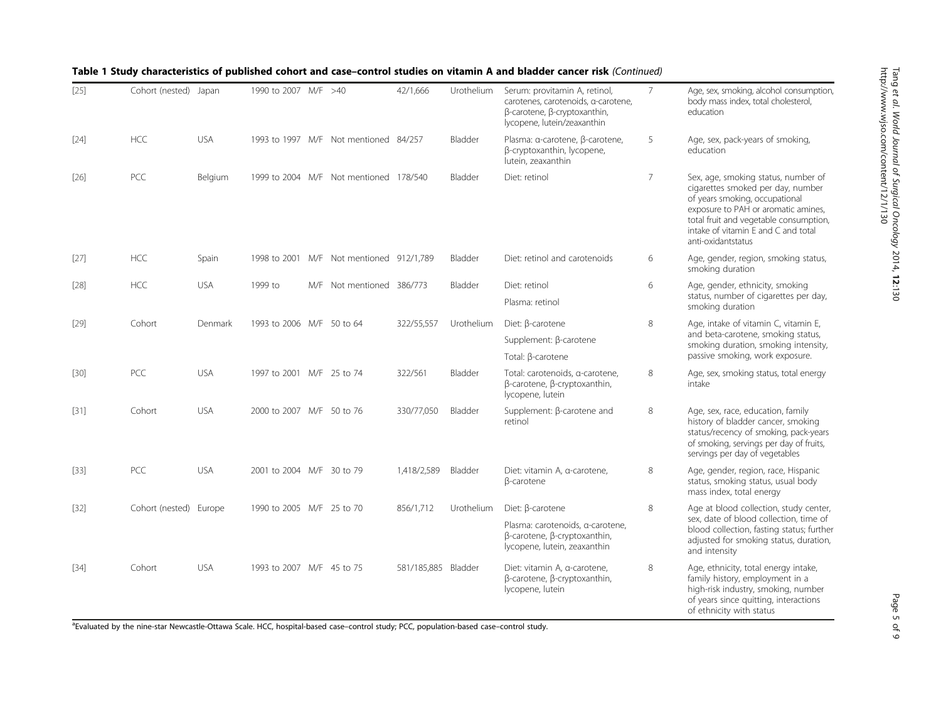| $[25]$               | Cohort (nested) Japan  |            | 1990 to 2007 M/F >40      |  |                                          | 42/1,666            | Urothelium                                                                                       | Serum: provitamin A, retinol,<br>carotenes, carotenoids, a-carotene,<br>β-carotene, β-cryptoxanthin,<br>lycopene, lutein/zeaxanthin | $\overline{7}$                                                                                                                                 | Age, sex, smoking, alcohol consumption,<br>body mass index, total cholesterol,<br>education                                                                                                                                                              |
|----------------------|------------------------|------------|---------------------------|--|------------------------------------------|---------------------|--------------------------------------------------------------------------------------------------|-------------------------------------------------------------------------------------------------------------------------------------|------------------------------------------------------------------------------------------------------------------------------------------------|----------------------------------------------------------------------------------------------------------------------------------------------------------------------------------------------------------------------------------------------------------|
| $[24]$               | <b>HCC</b>             | <b>USA</b> |                           |  | 1993 to 1997 M/F Not mentioned 84/257    |                     | Bladder                                                                                          | Plasma: α-carotene, β-carotene,<br>β-cryptoxanthin, lycopene,<br>lutein, zeaxanthin                                                 | 5                                                                                                                                              | Age, sex, pack-years of smoking,<br>education                                                                                                                                                                                                            |
| $[26]$               | PCC                    | Belgium    |                           |  | 1999 to 2004 M/F Not mentioned 178/540   |                     | Bladder                                                                                          | Diet: retinol                                                                                                                       | $\overline{7}$                                                                                                                                 | Sex, age, smoking status, number of<br>cigarettes smoked per day, number<br>of years smoking, occupational<br>exposure to PAH or aromatic amines,<br>total fruit and vegetable consumption,<br>intake of vitamin E and C and total<br>anti-oxidantstatus |
| [27]                 | <b>HCC</b>             | Spain      |                           |  | 1998 to 2001 M/F Not mentioned 912/1,789 |                     | Bladder                                                                                          | Diet: retinol and carotenoids                                                                                                       | 6                                                                                                                                              | Age, gender, region, smoking status,<br>smoking duration                                                                                                                                                                                                 |
| <b>HCC</b><br>$[28]$ |                        | <b>USA</b> | 1999 to                   |  | M/F Not mentioned 386/773                |                     | Bladder                                                                                          | Diet: retinol                                                                                                                       | 6                                                                                                                                              | Age, gender, ethnicity, smoking                                                                                                                                                                                                                          |
|                      |                        |            |                           |  |                                          |                     |                                                                                                  | Plasma: retinol                                                                                                                     |                                                                                                                                                | status, number of cigarettes per day,<br>smoking duration                                                                                                                                                                                                |
| $[29]$<br>Cohort     |                        | Denmark    |                           |  | 1993 to 2006 M/F 50 to 64                | 322/55,557          | Urothelium                                                                                       | Diet: ß-carotene                                                                                                                    | 8                                                                                                                                              | Age, intake of vitamin C, vitamin E,<br>and beta-carotene, smoking status,<br>smoking duration, smoking intensity,                                                                                                                                       |
|                      |                        |            |                           |  |                                          |                     |                                                                                                  | Supplement: β-carotene                                                                                                              |                                                                                                                                                |                                                                                                                                                                                                                                                          |
|                      |                        |            |                           |  |                                          |                     |                                                                                                  | Total: ß-carotene                                                                                                                   |                                                                                                                                                | passive smoking, work exposure.                                                                                                                                                                                                                          |
| $[30]$               | PCC                    | <b>USA</b> | 1997 to 2001 M/F 25 to 74 |  |                                          | 322/561             | Bladder                                                                                          | Total: carotenoids, a-carotene,<br>β-carotene, β-cryptoxanthin,<br>lycopene, lutein                                                 | 8                                                                                                                                              | Age, sex, smoking status, total energy<br>intake                                                                                                                                                                                                         |
| $[31]$               | Cohort                 | <b>USA</b> | 2000 to 2007 M/F 50 to 76 |  |                                          | 330/77,050          | Bladder                                                                                          | Supplement: $\beta$ -carotene and<br>retinol                                                                                        | 8                                                                                                                                              | Age, sex, race, education, family<br>history of bladder cancer, smoking<br>status/recency of smoking, pack-years<br>of smoking, servings per day of fruits,<br>servings per day of vegetables                                                            |
| $[33]$               | PCC                    | <b>USA</b> | 2001 to 2004 M/F 30 to 79 |  |                                          | 1,418/2,589         | Bladder                                                                                          | Diet: vitamin A, a-carotene,<br>β-carotene                                                                                          | 8                                                                                                                                              | Age, gender, region, race, Hispanic<br>status, smoking status, usual body<br>mass index, total energy                                                                                                                                                    |
| $[32]$               | Cohort (nested) Europe |            | 1990 to 2005 M/F 25 to 70 |  | 856/1,712                                |                     | Urothelium                                                                                       | Diet: B-carotene                                                                                                                    | 8                                                                                                                                              | Age at blood collection, study center,                                                                                                                                                                                                                   |
|                      |                        |            |                           |  |                                          |                     | Plasma: carotenoids, a-carotene,<br>β-carotene, β-cryptoxanthin,<br>lycopene, lutein, zeaxanthin |                                                                                                                                     | sex, date of blood collection, time of<br>blood collection, fasting status; further<br>adjusted for smoking status, duration,<br>and intensity |                                                                                                                                                                                                                                                          |
| $[34]$               | Cohort                 | <b>USA</b> | 1993 to 2007 M/F 45 to 75 |  |                                          | 581/185,885 Bladder |                                                                                                  | Diet: vitamin A, a-carotene,<br>$\beta$ -carotene, $\beta$ -cryptoxanthin,<br>lycopene, lutein                                      | 8                                                                                                                                              | Age, ethnicity, total energy intake,<br>family history, employment in a<br>high-risk industry, smoking, number<br>of years since quitting, interactions<br>of ethnicity with status                                                                      |

# Table 1 Study characteristics of published cohort and case-control studies on vitamin A and bladder cancer risk (Continued)

Tang

et al. World

http://www.wjso.com/content/12/1/130

Journal of Surgical Oncology

2014, <u>ีลี</u> :130

a Evaluated by the nine-star Newcastle-Ottawa Scale. HCC, hospital-based case–control study; PCC, population-based case–control study.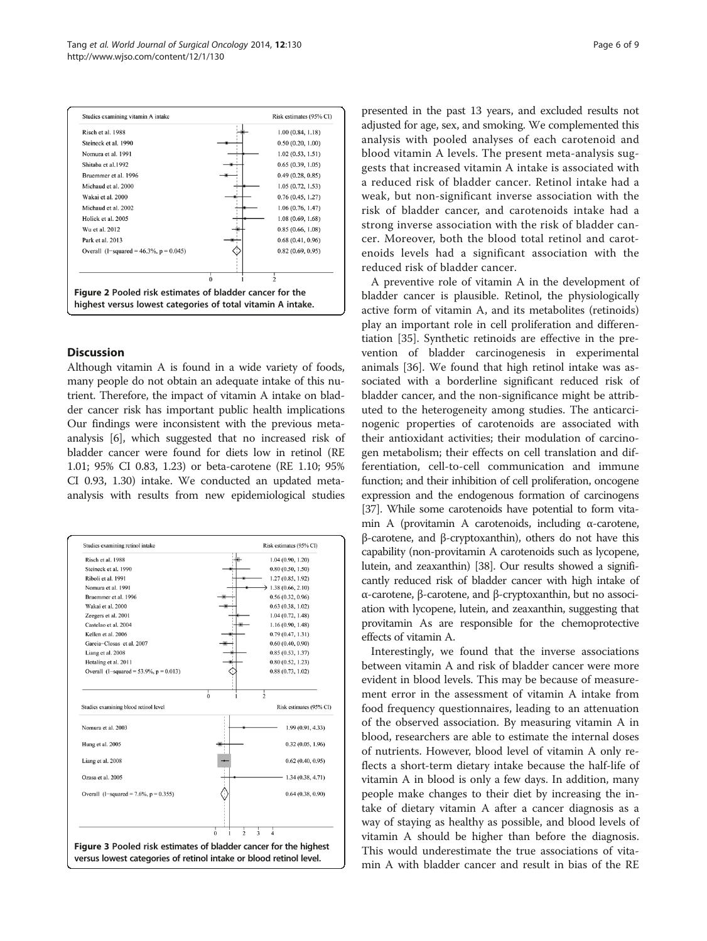

<span id="page-5-0"></span>

# **Discussion**

Although vitamin A is found in a wide variety of foods, many people do not obtain an adequate intake of this nutrient. Therefore, the impact of vitamin A intake on bladder cancer risk has important public health implications Our findings were inconsistent with the previous metaanalysis [[6](#page-7-0)], which suggested that no increased risk of bladder cancer were found for diets low in retinol (RE 1.01; 95% CI 0.83, 1.23) or beta-carotene (RE 1.10; 95% CI 0.93, 1.30) intake. We conducted an updated metaanalysis with results from new epidemiological studies



presented in the past 13 years, and excluded results not adjusted for age, sex, and smoking. We complemented this analysis with pooled analyses of each carotenoid and blood vitamin A levels. The present meta-analysis suggests that increased vitamin A intake is associated with a reduced risk of bladder cancer. Retinol intake had a weak, but non-significant inverse association with the risk of bladder cancer, and carotenoids intake had a strong inverse association with the risk of bladder cancer. Moreover, both the blood total retinol and carotenoids levels had a significant association with the reduced risk of bladder cancer.

A preventive role of vitamin A in the development of bladder cancer is plausible. Retinol, the physiologically active form of vitamin A, and its metabolites (retinoids) play an important role in cell proliferation and differentiation [\[35](#page-7-0)]. Synthetic retinoids are effective in the prevention of bladder carcinogenesis in experimental animals [[36\]](#page-8-0). We found that high retinol intake was associated with a borderline significant reduced risk of bladder cancer, and the non-significance might be attributed to the heterogeneity among studies. The anticarcinogenic properties of carotenoids are associated with their antioxidant activities; their modulation of carcinogen metabolism; their effects on cell translation and differentiation, cell-to-cell communication and immune function; and their inhibition of cell proliferation, oncogene expression and the endogenous formation of carcinogens [[37](#page-8-0)]. While some carotenoids have potential to form vitamin A (provitamin A carotenoids, including α-carotene, β-carotene, and β-cryptoxanthin), others do not have this capability (non-provitamin A carotenoids such as lycopene, lutein, and zeaxanthin) [\[38\]](#page-8-0). Our results showed a significantly reduced risk of bladder cancer with high intake of α-carotene, β-carotene, and β-cryptoxanthin, but no association with lycopene, lutein, and zeaxanthin, suggesting that provitamin As are responsible for the chemoprotective effects of vitamin A.

Interestingly, we found that the inverse associations between vitamin A and risk of bladder cancer were more evident in blood levels. This may be because of measurement error in the assessment of vitamin A intake from food frequency questionnaires, leading to an attenuation of the observed association. By measuring vitamin A in blood, researchers are able to estimate the internal doses of nutrients. However, blood level of vitamin A only reflects a short-term dietary intake because the half-life of vitamin A in blood is only a few days. In addition, many people make changes to their diet by increasing the intake of dietary vitamin A after a cancer diagnosis as a way of staying as healthy as possible, and blood levels of vitamin A should be higher than before the diagnosis. This would underestimate the true associations of vitamin A with bladder cancer and result in bias of the RE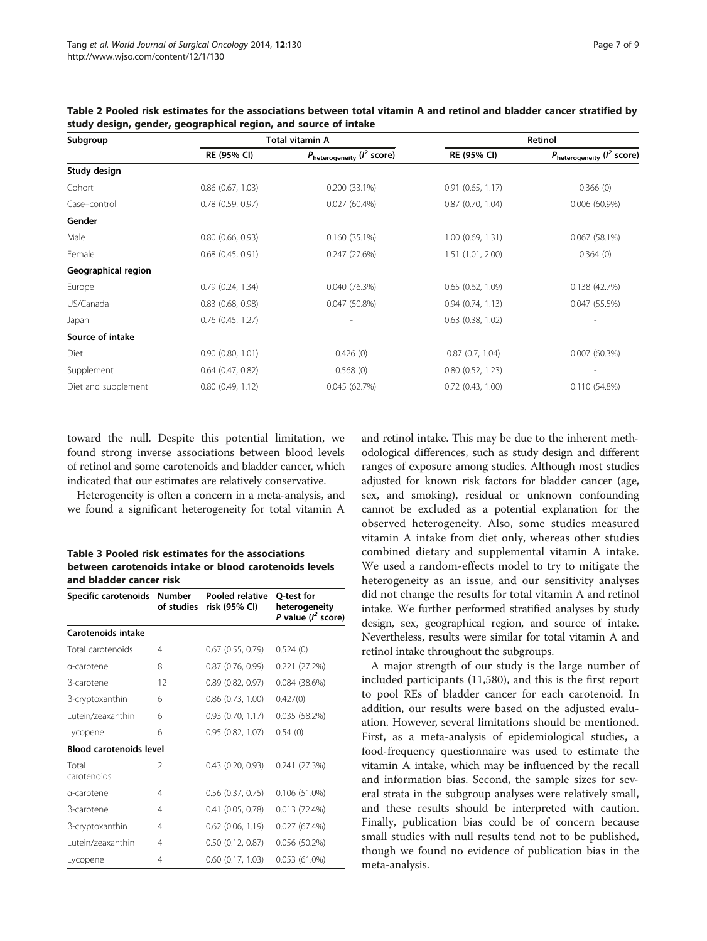| Subgroup            |                       | <b>Total vitamin A</b>                    | Retinol               |                                           |  |
|---------------------|-----------------------|-------------------------------------------|-----------------------|-------------------------------------------|--|
|                     | <b>RE (95% CI)</b>    | $P_{\text{heterogeneity}}$ ( $I^2$ score) | RE (95% CI)           | $P_{\text{heterogeneity}}$ ( $I^2$ score) |  |
| Study design        |                       |                                           |                       |                                           |  |
| Cohort              | $0.86$ $(0.67, 1.03)$ | $0.200(33.1\%)$                           | $0.91$ $(0.65, 1.17)$ | 0.366(0)                                  |  |
| Case-control        | $0.78$ $(0.59, 0.97)$ | $0.027(60.4\%)$                           | $0.87$ (0.70, 1.04)   | $0.006(60.9\%)$                           |  |
| Gender              |                       |                                           |                       |                                           |  |
| Male                | $0.80$ $(0.66, 0.93)$ | 0.160(35.1%)                              | $1.00$ (0.69, 1.31)   | 0.067(58.1%)                              |  |
| Female              | $0.68$ $(0.45, 0.91)$ | 0.247(27.6%)                              | 1.51 (1.01, 2.00)     | 0.364(0)                                  |  |
| Geographical region |                       |                                           |                       |                                           |  |
| Europe              | 0.79(0.24, 1.34)      | 0.040(76.3%)                              | $0.65$ $(0.62, 1.09)$ | 0.138(42.7%)                              |  |
| US/Canada           | $0.83$ $(0.68, 0.98)$ | $0.047(50.8\%)$                           | 0.94(0.74, 1.13)      | 0.047(55.5%)                              |  |
| Japan               | $0.76$ $(0.45, 1.27)$ |                                           | $0.63$ $(0.38, 1.02)$ |                                           |  |
| Source of intake    |                       |                                           |                       |                                           |  |
| Diet                | 0.90(0.80, 1.01)      | 0.426(0)                                  | 0.87(0.7, 1.04)       | 0.007(60.3%)                              |  |
| Supplement          | $0.64$ (0.47, 0.82)   | 0.568(0)                                  | $0.80$ $(0.52, 1.23)$ |                                           |  |
| Diet and supplement | $0.80$ $(0.49, 1.12)$ | 0.045(62.7%)                              | $0.72$ $(0.43, 1.00)$ | $0.110(54.8\%)$                           |  |

<span id="page-6-0"></span>Table 2 Pooled risk estimates for the associations between total vitamin A and retinol and bladder cancer stratified by study design, gender, geographical region, and source of intake

toward the null. Despite this potential limitation, we found strong inverse associations between blood levels of retinol and some carotenoids and bladder cancer, which indicated that our estimates are relatively conservative.

Heterogeneity is often a concern in a meta-analysis, and we found a significant heterogeneity for total vitamin A

Table 3 Pooled risk estimates for the associations between carotenoids intake or blood carotenoids levels and bladder cancer risk

| Specific carotenoids           | <b>Number</b><br>of studies | Pooled relative<br>risk (95% CI) | Q-test for<br>heterogeneity<br>P value $(l^2 \text{ score})$ |
|--------------------------------|-----------------------------|----------------------------------|--------------------------------------------------------------|
| Carotenoids intake             |                             |                                  |                                                              |
| Total carotenoids              | 4                           | $0.67$ $(0.55, 0.79)$            | 0.524(0)                                                     |
| a-carotene                     | 8                           | $0.87$ $(0.76, 0.99)$            | 0.221 (27.2%)                                                |
| β-carotene                     | 12                          | $0.89$ $(0.82, 0.97)$            | 0.084(38.6%)                                                 |
| β-cryptoxanthin                | 6                           | $0.86$ $(0.73, 1.00)$            | 0.427(0)                                                     |
| Lutein/zeaxanthin              | 6                           | $0.93$ $(0.70, 1.17)$            | 0.035(58.2%)                                                 |
| Lycopene                       | 6                           | 0.95(0.82, 1.07)                 | 0.54(0)                                                      |
| <b>Blood carotenoids level</b> |                             |                                  |                                                              |
| Total<br>carotenoids           | $\mathfrak{D}$              | $0.43$ $(0.20, 0.93)$            | 0.241(27.3%)                                                 |
| a-carotene                     | 4                           | $0.56$ $(0.37, 0.75)$            | $0.106(51.0\%)$                                              |
| β-carotene                     | 4                           | $0.41$ (0.05, 0.78)              | 0.013(72.4%)                                                 |
| β-cryptoxanthin                | $\overline{4}$              | $0.62$ $(0.06, 1.19)$            | 0.027(67.4%)                                                 |
| Lutein/zeaxanthin              | 4                           | $0.50$ $(0.12, 0.87)$            | $0.056(50.2\%)$                                              |
| Lycopene                       | 4                           | $0.60$ $(0.17, 1.03)$            | $0.053(61.0\%)$                                              |

and retinol intake. This may be due to the inherent methodological differences, such as study design and different ranges of exposure among studies. Although most studies adjusted for known risk factors for bladder cancer (age, sex, and smoking), residual or unknown confounding cannot be excluded as a potential explanation for the observed heterogeneity. Also, some studies measured vitamin A intake from diet only, whereas other studies combined dietary and supplemental vitamin A intake. We used a random-effects model to try to mitigate the heterogeneity as an issue, and our sensitivity analyses did not change the results for total vitamin A and retinol intake. We further performed stratified analyses by study design, sex, geographical region, and source of intake. Nevertheless, results were similar for total vitamin A and retinol intake throughout the subgroups.

A major strength of our study is the large number of included participants (11,580), and this is the first report to pool REs of bladder cancer for each carotenoid. In addition, our results were based on the adjusted evaluation. However, several limitations should be mentioned. First, as a meta-analysis of epidemiological studies, a food-frequency questionnaire was used to estimate the vitamin A intake, which may be influenced by the recall and information bias. Second, the sample sizes for several strata in the subgroup analyses were relatively small, and these results should be interpreted with caution. Finally, publication bias could be of concern because small studies with null results tend not to be published, though we found no evidence of publication bias in the meta-analysis.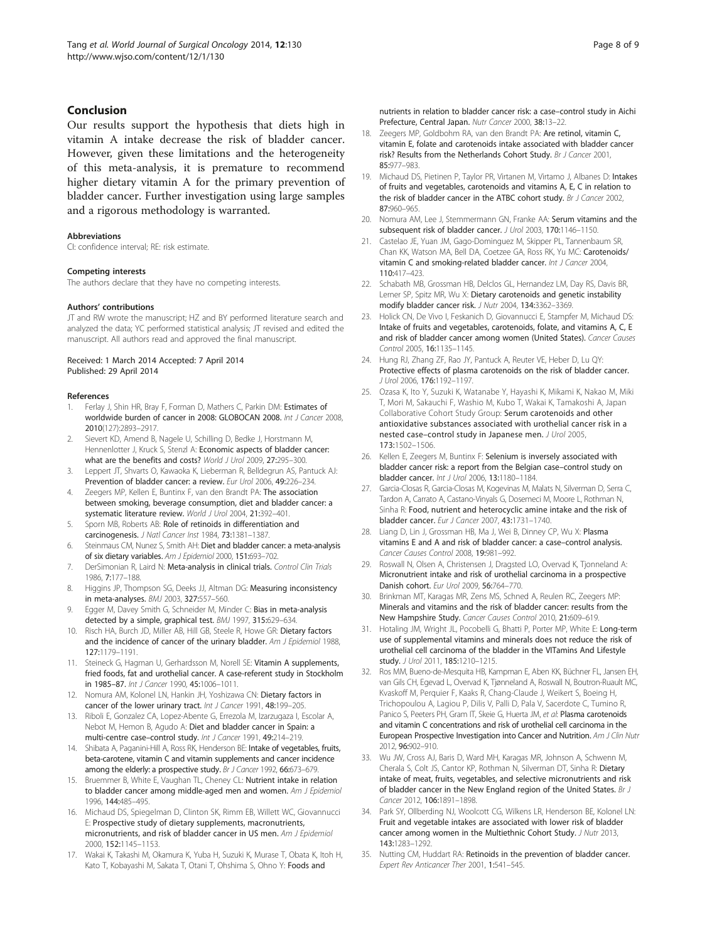## <span id="page-7-0"></span>Conclusion

Our results support the hypothesis that diets high in vitamin A intake decrease the risk of bladder cancer. However, given these limitations and the heterogeneity of this meta-analysis, it is premature to recommend higher dietary vitamin A for the primary prevention of bladder cancer. Further investigation using large samples and a rigorous methodology is warranted.

#### Abbreviations

CI: confidence interval; RE: risk estimate.

# Competing interests

The authors declare that they have no competing interests.

#### Authors' contributions

JT and RW wrote the manuscript; HZ and BY performed literature search and analyzed the data; YC performed statistical analysis; JT revised and edited the manuscript. All authors read and approved the final manuscript.

#### Received: 1 March 2014 Accepted: 7 April 2014 Published: 29 April 2014

#### References

- Ferlay J, Shin HR, Bray F, Forman D, Mathers C, Parkin DM: Estimates of worldwide burden of cancer in 2008: GLOBOCAN 2008. Int J Cancer 2008, 2010(127):2893–2917.
- Sievert KD, Amend B, Nagele U, Schilling D, Bedke J, Horstmann M, Hennenlotter J, Kruck S, Stenzl A: Economic aspects of bladder cancer: what are the benefits and costs? World J Urol 2009, 27:295-300.
- Leppert JT, Shvarts O, Kawaoka K, Lieberman R, Belldegrun AS, Pantuck AJ: Prevention of bladder cancer: a review. Eur Urol 2006, 49:226–234.
- 4. Zeegers MP, Kellen E, Buntinx F, van den Brandt PA: The association between smoking, beverage consumption, diet and bladder cancer: a systematic literature review. World J Urol 2004, 21:392–401.
- 5. Sporn MB, Roberts AB: Role of retinoids in differentiation and carcinogenesis. J Natl Cancer Inst 1984, 73:1381–1387.
- Steinmaus CM, Nunez S, Smith AH: Diet and bladder cancer: a meta-analysis of six dietary variables. Am J Epidemiol 2000, 151:693–702.
- 7. DerSimonian R, Laird N: Meta-analysis in clinical trials. Control Clin Trials 1986, 7:177–188.
- 8. Higgins JP, Thompson SG, Deeks JJ, Altman DG: Measuring inconsistency in meta-analyses. BMJ 2003, 327:557–560.
- 9. Egger M, Davey Smith G, Schneider M, Minder C: Bias in meta-analysis detected by a simple, graphical test. BMJ 1997, 315:629–634.
- 10. Risch HA, Burch JD, Miller AB, Hill GB, Steele R, Howe GR: Dietary factors and the incidence of cancer of the urinary bladder. Am J Epidemiol 1988, 127:1179–1191.
- 11. Steineck G, Hagman U, Gerhardsson M, Norell SE: Vitamin A supplements, fried foods, fat and urothelial cancer. A case-referent study in Stockholm in 1985–87. Int J Cancer 1990, 45:1006–1011.
- 12. Nomura AM, Kolonel LN, Hankin JH, Yoshizawa CN: Dietary factors in cancer of the lower urinary tract. Int J Cancer 1991, 48:199-205.
- 13. Riboli E, Gonzalez CA, Lopez-Abente G, Errezola M, Izarzugaza I, Escolar A, Nebot M, Hemon B, Agudo A: Diet and bladder cancer in Spain: a multi-centre case–control study. Int J Cancer 1991, 49:214–219.
- 14. Shibata A, Paganini-Hill A, Ross RK, Henderson BE: Intake of vegetables, fruits, beta-carotene, vitamin C and vitamin supplements and cancer incidence among the elderly: a prospective study. Br J Cancer 1992, 66:673-679.
- 15. Bruemmer B, White E, Vaughan TL, Cheney CL: Nutrient intake in relation to bladder cancer among middle-aged men and women. Am J Epidemiol 1996, 144:485–495.
- 16. Michaud DS, Spiegelman D, Clinton SK, Rimm EB, Willett WC, Giovannucci E: Prospective study of dietary supplements, macronutrients, micronutrients, and risk of bladder cancer in US men. Am J Epidemiol 2000, 152:1145–1153.
- 17. Wakai K, Takashi M, Okamura K, Yuba H, Suzuki K, Murase T, Obata K, Itoh H, Kato T, Kobayashi M, Sakata T, Otani T, Ohshima S, Ohno Y: Foods and

nutrients in relation to bladder cancer risk: a case–control study in Aichi Prefecture, Central Japan. Nutr Cancer 2000, 38:13–22.

- 18. Zeegers MP, Goldbohm RA, van den Brandt PA: Are retinol, vitamin C, vitamin E, folate and carotenoids intake associated with bladder cancer risk? Results from the Netherlands Cohort Study. Br J Cancer 2001, 85:977–983.
- 19. Michaud DS, Pietinen P, Taylor PR, Virtanen M, Virtamo J, Albanes D: Intakes of fruits and vegetables, carotenoids and vitamins A, E, C in relation to the risk of bladder cancer in the ATBC cohort study. Br J Cancer 2002, 87:960–965.
- 20. Nomura AM, Lee J, Stemmermann GN, Franke AA: Serum vitamins and the subsequent risk of bladder cancer. J Urol 2003, 170:1146–1150.
- 21. Castelao JE, Yuan JM, Gago-Dominguez M, Skipper PL, Tannenbaum SR, Chan KK, Watson MA, Bell DA, Coetzee GA, Ross RK, Yu MC: Carotenoids/ vitamin C and smoking-related bladder cancer. Int J Cancer 2004, 110:417–423.
- 22. Schabath MB, Grossman HB, Delclos GL, Hernandez LM, Day RS, Davis BR, Lerner SP, Spitz MR, Wu X: Dietary carotenoids and genetic instability modify bladder cancer risk. J Nutr 2004, 134:3362–3369.
- 23. Holick CN, De Vivo I, Feskanich D, Giovannucci E, Stampfer M, Michaud DS: Intake of fruits and vegetables, carotenoids, folate, and vitamins A, C, E and risk of bladder cancer among women (United States). Cancer Causes Control 2005, 16:1135–1145.
- 24. Hung RJ, Zhang ZF, Rao JY, Pantuck A, Reuter VE, Heber D, Lu QY: Protective effects of plasma carotenoids on the risk of bladder cancer. J Urol 2006, 176:1192–1197.
- 25. Ozasa K, Ito Y, Suzuki K, Watanabe Y, Hayashi K, Mikami K, Nakao M, Miki T, Mori M, Sakauchi F, Washio M, Kubo T, Wakai K, Tamakoshi A, Japan Collaborative Cohort Study Group: Serum carotenoids and other antioxidative substances associated with urothelial cancer risk in a nested case–control study in Japanese men. J Urol 2005, 173:1502–1506.
- 26. Kellen E, Zeegers M, Buntinx F: Selenium is inversely associated with bladder cancer risk: a report from the Belgian case–control study on bladder cancer. Int J Urol 2006, 13:1180–1184.
- 27. Garcia-Closas R, Garcia-Closas M, Kogevinas M, Malats N, Silverman D, Serra C, Tardon A, Carrato A, Castano-Vinyals G, Dosemeci M, Moore L, Rothman N, Sinha R: Food, nutrient and heterocyclic amine intake and the risk of bladder cancer. Eur J Cancer 2007, 43:1731–1740.
- 28. Liang D, Lin J, Grossman HB, Ma J, Wei B, Dinney CP, Wu X: Plasma vitamins E and A and risk of bladder cancer: a case–control analysis. Cancer Causes Control 2008, 19:981–992.
- 29. Roswall N, Olsen A, Christensen J, Dragsted LO, Overvad K, Tjonneland A: Micronutrient intake and risk of urothelial carcinoma in a prospective Danish cohort. Eur Urol 2009, 56:764–770.
- 30. Brinkman MT, Karagas MR, Zens MS, Schned A, Reulen RC, Zeegers MP: Minerals and vitamins and the risk of bladder cancer: results from the New Hampshire Study. Cancer Causes Control 2010, 21:609–619.
- 31. Hotaling JM, Wright JL, Pocobelli G, Bhatti P, Porter MP, White E: Long-term use of supplemental vitamins and minerals does not reduce the risk of urothelial cell carcinoma of the bladder in the VITamins And Lifestyle study. J Urol 2011, 185:1210–1215.
- 32. Ros MM, Bueno-de-Mesquita HB, Kampman E, Aben KK, Büchner FL, Jansen EH, van Gils CH, Egevad L, Overvad K, Tjønneland A, Roswall N, Boutron-Ruault MC, Kvaskoff M, Perquier F, Kaaks R, Chang-Claude J, Weikert S, Boeing H, Trichopoulou A, Lagiou P, Dilis V, Palli D, Pala V, Sacerdote C, Tumino R, Panico S, Peeters PH, Gram IT, Skeie G, Huerta JM, et al: Plasma carotenoids and vitamin C concentrations and risk of urothelial cell carcinoma in the European Prospective Investigation into Cancer and Nutrition. Am J Clin Nutr 2012, 96:902–910.
- 33. Wu JW, Cross AJ, Baris D, Ward MH, Karagas MR, Johnson A, Schwenn M, Cherala S, Colt JS, Cantor KP, Rothman N, Silverman DT, Sinha R: Dietary intake of meat, fruits, vegetables, and selective micronutrients and risk of bladder cancer in the New England region of the United States. Br J Cancer 2012, 106:1891–1898.
- 34. Park SY, Ollberding NJ, Woolcott CG, Wilkens LR, Henderson BE, Kolonel LN: Fruit and vegetable intakes are associated with lower risk of bladder cancer among women in the Multiethnic Cohort Study. J Nutr 2013, 143:1283–1292.
- 35. Nutting CM, Huddart RA: Retinoids in the prevention of bladder cancer. Expert Rev Anticancer Ther 2001, 1:541–545.